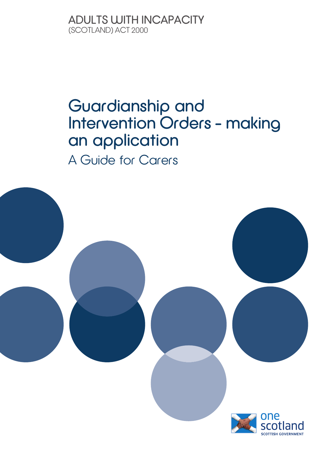#### ADULTS **WITH**INCAPACITY (SCOTLAND) ACT 2000

### Guardianship and Intervention Orders – making an application A Guide for Carers

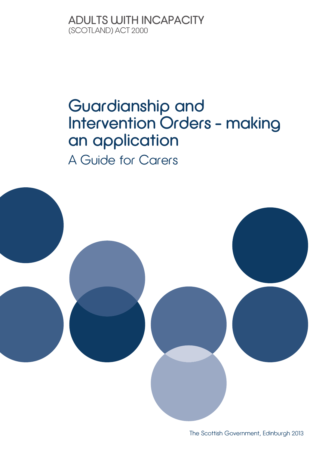ADULTS WITH INCAPACITY (SCOTLAND) ACT 2000

### Guardianship and Intervention Orders – making an application A Guide for Carers



The Scottish Government, Edinburgh 2013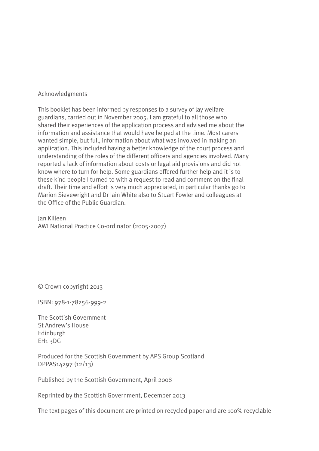#### Acknowledgments

This booklet has been informed by responses to a survey of lay welfare guardians, carried out in November 2005. I am grateful to all those who shared their experiences of the application process and advised me about the information and assistance that would have helped at the time. Most carers wanted simple, but full, information about what was involved in making an application. This included having a better knowledge of the court process and understanding of the roles of the different officers and agencies involved. Many reported a lack of information about costs or legal aid provisions and did not know where to turn for help. Some guardians offered further help and it is to these kind people I turned to with a request to read and comment on the final draft. Their time and effort is very much appreciated, in particular thanks go to Marion Sievewright and Dr Iain White also to Stuart Fowler and colleagues at the Office of the Public Guardian.

Jan Killeen AWI National Practice Co-ordinator (2005-2007)

© Crown copyright 2013

ISBN: 978-1-78256-999-2

The Scottish Government St Andrew's House Edinburgh EH1 3DG

Produced for the Scottish Government by APS Group Scotland DPPAS14297 (12/13)

Published by the Scottish Government, April 2008

Reprinted by the Scottish Government, December 2013

The text pages of this document are printed on recycled paper and are 100% recyclable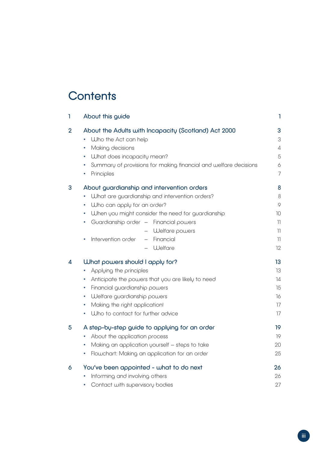### **Contents**

| 1                       | About this guide                                                                                                                                                                                                                                                                                                                                               | $\mathbf{I}$                                               |
|-------------------------|----------------------------------------------------------------------------------------------------------------------------------------------------------------------------------------------------------------------------------------------------------------------------------------------------------------------------------------------------------------|------------------------------------------------------------|
| $\overline{2}$          | About the Adults with Incapacity (Scotland) Act 2000<br>Who the Act can help<br>٠<br>Making decisions<br>٠<br><b>What does incapacity mean?</b><br>٠<br>Summary of provisions for making financial and welfare decisions<br>٠<br>Principles<br>٠                                                                                                               | 3<br>3<br>$\varDelta$<br>5<br>$\Diamond$<br>$\overline{7}$ |
| 3                       | About guardianship and intervention orders<br>What are guardianship and intervention orders?<br>Who can apply for an order?<br>٠<br>When you might consider the need for guardianship<br>٠<br>Guardianship order - Financial powers<br>٠<br>Welfare powers<br>$\qquad \qquad -$<br>Intervention order<br>Financial<br>$\overline{\phantom{0}}$<br>٠<br>Welfare | 8<br>$\,8\,$<br>9<br>10<br>11<br>11<br>11<br>12            |
| $\overline{\mathbf{4}}$ | What powers should I apply for?<br>Applying the principles<br>٠<br>Anticipate the powers that you are likely to need<br>۰<br>Financial guardianship powers<br>٠<br>Welfare guardianship powers<br>٠<br>Making the right application!<br>٠<br>Who to contact for further advice<br>٠                                                                            | 13<br>13<br>14<br>15<br>16<br>17<br>17                     |
| 5                       | A step-by-step guide to applying for an order<br>About the application process<br>٠<br>Making an application yourself - steps to take<br>٠<br>Flowchart: Making an application for an order<br>٠                                                                                                                                                               | 19<br>19<br>20<br>25                                       |
| 6                       | You've been appointed - what to do next<br>Informing and involving others<br>٠<br>Contact with supervisory bodies<br>٠                                                                                                                                                                                                                                         | 26<br>26<br>27                                             |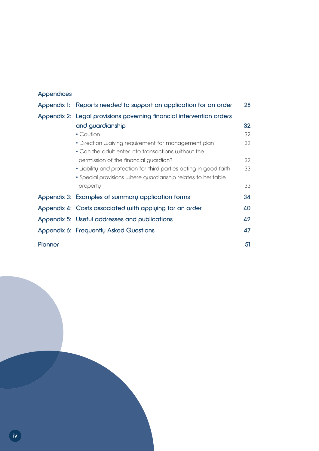#### Appendices

|                                                                      | Appendix 1: Reports needed to support an application for an order | 28 |  |
|----------------------------------------------------------------------|-------------------------------------------------------------------|----|--|
| Appendix 2: Legal provisions governing financial intervention orders |                                                                   |    |  |
|                                                                      | and guardianship                                                  | 32 |  |
|                                                                      | • Caution                                                         | 32 |  |
|                                                                      | • Direction waiving requirement for management plan               | 32 |  |
|                                                                      | • Can the adult enter into transactions without the               |    |  |
|                                                                      | permission of the financial guardian?                             | 32 |  |
|                                                                      | • Liability and protection for third parties acting in good faith | 33 |  |
|                                                                      | · Special provisions where guardianship relates to heritable      |    |  |
|                                                                      | property                                                          | 33 |  |
|                                                                      | Appendix 3: Examples of summary application forms                 | 34 |  |
|                                                                      | Appendix 4: Costs associated with applying for an order           | 40 |  |
|                                                                      | Appendix 5: Useful addresses and publications                     | 42 |  |
|                                                                      | Appendix 6: Frequently Asked Questions                            | 47 |  |
| Planner                                                              |                                                                   | 51 |  |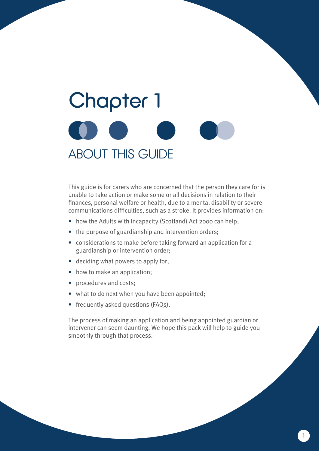# **Chapter 1** ABOUT THIS GUIDE

This guide is for carers who are concerned that the person they care for is unable to take action or make some or all decisions in relation to their finances, personal welfare or health, due to a mental disability or severe communications difficulties, such as a stroke. It provides information on:

- how the Adults with Incapacity (Scotland) Act 2000 can help;
- the purpose of guardianship and intervention orders;
- considerations to make before taking forward an application for a guardianship or intervention order;
- deciding what powers to apply for:
- how to make an application;
- procedures and costs;
- what to do next when you have been appointed;
- frequently asked questions (FAQs).

The process of making an application and being appointed guardian or intervener can seem daunting. We hope this pack will help to guide you smoothly through that process.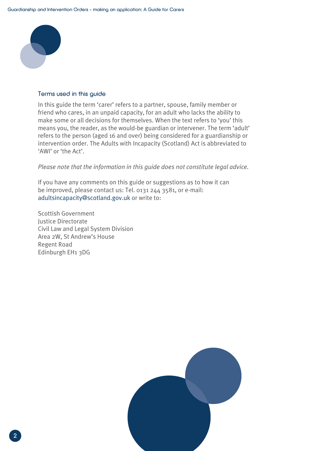

#### Terms used in this guide

In this guide the term 'carer' refers to a partner, spouse, family member or friend who cares, in an unpaid capacity, for an adult who lacks the ability to make some or all decisions for themselves. When the text refers to 'you' this means you, the reader, as the would-be guardian or intervener. The term 'adult' refers to the person (aged 16 and over) being considered for a guardianship or intervention order. The Adults with Incapacity (Scotland) Act is abbreviated to 'AWI' or 'the Act'.

*Please note that the information in this guide does not constitute legal advice.*

If you have any comments on this guide or suggestions as to how it can be improved, please contact us: Tel. 0131 244 3581, or e-mail: adultsincapacity@scotland.gov.uk or write to:

Scottish Government Justice Directorate Civil Law and Legal System Division Area 2W, St Andrew's House Regent Road Edinburgh EH1 3DG

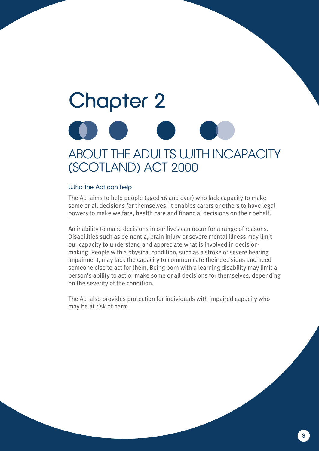## **Chapter 2** ABOUT THE ADULTS WITH INCAPACITY (SCOTLAND) ACT 2000

#### Who the Act can help

The Act aims to help people (aged 16 and over) who lack capacity to make some or all decisions for themselves. It enables carers or others to have legal powers to make welfare, health care and financial decisions on their behalf.

An inability to make decisions in our lives can occur for a range of reasons. Disabilities such as dementia, brain injury or severe mental illness may limit our capacity to understand and appreciate what is involved in decisionmaking. People with a physical condition, such as a stroke or severe hearing impairment, may lack the capacity to communicate their decisions and need someone else to act for them. Being born with a learning disability may limit a person's ability to act or make some or all decisions for themselves, depending on the severity of the condition.

The Act also provides protection for individuals with impaired capacity who may be at risk of harm.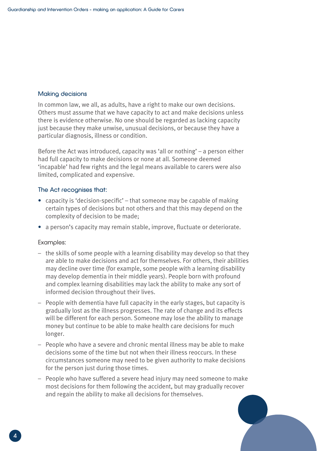#### Making decisions

In common law, we all, as adults, have a right to make our own decisions. Others must assume that we have capacity to act and make decisions unless there is evidence otherwise. No one should be regarded as lacking capacity just because they make unwise, unusual decisions, or because they have a particular diagnosis, illness or condition.

Before the Act was introduced, capacity was 'all or nothing' – a person either had full capacity to make decisions or none at all. Someone deemed 'incapable' had few rights and the legal means available to carers were also limited, complicated and expensive.

#### The Act recognises that:

- capacity is 'decision-specific' that someone may be capable of making certain types of decisions but not others and that this may depend on the complexity of decision to be made;
- a person's capacity may remain stable, improve, fluctuate or deteriorate.

#### Examples:

- the skills of some people with a learning disability may develop so that they are able to make decisions and act for themselves. For others, their abilities may decline over time (for example, some people with a learning disability may develop dementia in their middle years). People born with profound and complex learning disabilities may lack the ability to make any sort of informed decision throughout their lives.
- People with dementia have full capacity in the early stages, but capacity is gradually lost as the illness progresses. The rate of change and its effects will be different for each person. Someone may lose the ability to manage money but continue to be able to make health care decisions for much longer.
- People who have a severe and chronic mental illness may be able to make decisions some of the time but not when their illness reoccurs. In these circumstances someone may need to be given authority to make decisions for the person just during those times.
- People who have suffered a severe head injury may need someone to make most decisions for them following the accident, but may gradually recover and regain the ability to make all decisions for themselves.

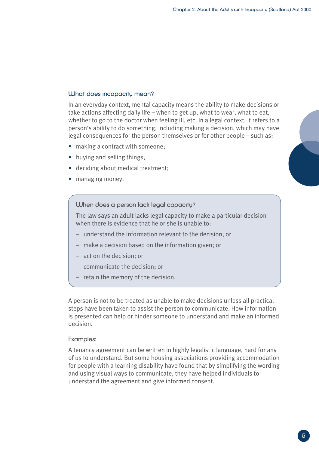#### What does incapacity mean?

In an everyday context, mental capacity means the ability to make decisions or take actions affecting daily life – when to get up, what to wear, what to eat, whether to go to the doctor when feeling ill, etc. In a legal context, it refers to a person's ability to do something, including making a decision, which may have legal consequences for the person themselves or for other people – such as:

- making a contract with someone;
- buying and selling things;
- deciding about medical treatment;
- managing money.

When does a person lack legal capacity?

The law says an adult lacks legal capacity to make a particular decision when there is evidence that he or she is unable to:

- understand the information relevant to the decision; or
- make a decision based on the information given; or
- act on the decision; or
- communicate the decision; or
- retain the memory of the decision.

A person is not to be treated as unable to make decisions unless all practical steps have been taken to assist the person to communicate. How information is presented can help or hinder someone to understand and make an informed decision.

#### Examples:

A tenancy agreement can be written in highly legalistic language, hard for any of us to understand. But some housing associations providing accommodation for people with a learning disability have found that by simplifying the wording and using visual ways to communicate, they have helped individuals to understand the agreement and give informed consent.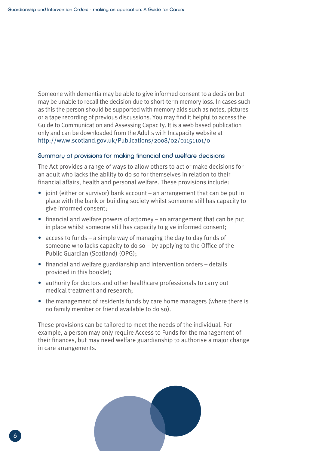Someone with dementia may be able to give informed consent to a decision but may be unable to recall the decision due to short-term memory loss. In cases such as this the person should be supported with memory aids such as notes, pictures or a tape recording of previous discussions. You may find it helpful to access the Guide to Communication and Assessing Capacity. It is a web based publication only and can be downloaded from the Adults with Incapacity website at http://www.scotland.gov.uk/Publications/2008/02/01151101/0

#### Summary of provisions for making financial and welfare decisions

The Act provides a range of ways to allow others to act or make decisions for an adult who lacks the ability to do so for themselves in relation to their financial affairs, health and personal welfare. These provisions include:

- joint (either or survivor) bank account an arrangement that can be put in place with the bank or building society whilst someone still has capacity to give informed consent;
- financial and welfare powers of attorney an arrangement that can be put in place whilst someone still has capacity to give informed consent;
- access to funds a simple way of managing the day to day funds of someone who lacks capacity to do so – by applying to the Office of the Public Guardian (Scotland) (OPG);
- financial and welfare guardianship and intervention orders details provided in this booklet;
- authority for doctors and other healthcare professionals to carry out medical treatment and research;
- the management of residents funds by care home managers (where there is no family member or friend available to do so).

These provisions can be tailored to meet the needs of the individual. For example, a person may only require Access to Funds for the management of their finances, but may need welfare guardianship to authorise a major change in care arrangements.

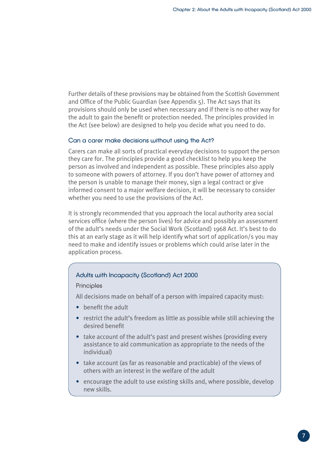Further details of these provisions may be obtained from the Scottish Government and Office of the Public Guardian (see Appendix 5). The Act says that its provisions should only be used when necessary and if there is no other way for the adult to gain the benefit or protection needed. The principles provided in the Act (see below) are designed to help you decide what you need to do.

#### Can a carer make decisions without using the Act?

Carers can make all sorts of practical everyday decisions to support the person they care for. The principles provide a good checklist to help you keep the person as involved and independent as possible. These principles also apply to someone with powers of attorney. If you don't have power of attorney and the person is unable to manage their money, sign a legal contract or give informed consent to a major welfare decision, it will be necessary to consider whether you need to use the provisions of the Act.

It is strongly recommended that you approach the local authority area social services office (where the person lives) for advice and possibly an assessment of the adult's needs under the Social Work (Scotland) 1968 Act. It's best to do this at an early stage as it will help identify what sort of application/s you may need to make and identify issues or problems which could arise later in the application process.

#### Adults with Incapacity (Scotland) Act 2000

#### **Principles**

All decisions made on behalf of a person with impaired capacity must:

- benefit the adult
- restrict the adult's freedom as little as possible while still achieving the desired benefit
- take account of the adult's past and present wishes (providing every assistance to aid communication as appropriate to the needs of the individual)
- take account (as far as reasonable and practicable) of the views of others with an interest in the welfare of the adult
- encourage the adult to use existing skills and, where possible, develop new skills.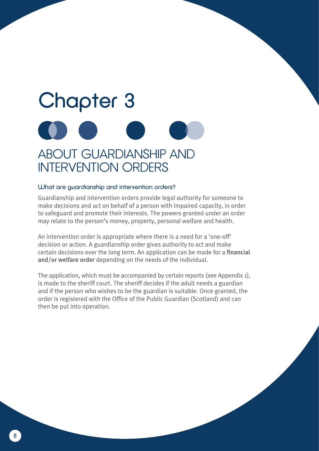## Chapter 3 ABOUT GUARDIANSHIP AND INTERVENTION ORDERS

#### What are guardianship and intervention orders?

Guardianship and intervention orders provide legal authority for someone to make decisions and act on behalf of a person with impaired capacity, in order to safeguard and promote their interests. The powers granted under an order may relate to the person's money, property, personal welfare and health.

An intervention order is appropriate where there is a need for a 'one-off' decision or action. A guardianship order gives authority to act and make certain decisions over the long term. An application can be made for a financial and/or welfare order depending on the needs of the individual.

The application, which must be accompanied by certain reports (see Appendix 1), is made to the sheriff court. The sheriff decides if the adult needs a guardian and if the person who wishes to be the guardian is suitable. Once granted, the order is registered with the Office of the Public Guardian (Scotland) and can then be put into operation.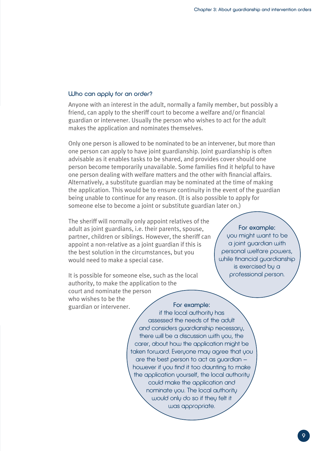#### Who can apply for an order?

Anyone with an interest in the adult, normally a family member, but possibly a friend, can apply to the sheriff court to become a welfare and/or financial guardian or intervener. Usually the person who wishes to act for the adult makes the application and nominates themselves.

Only one person is allowed to be nominated to be an intervener, but more than one person can apply to have joint guardianship. Joint guardianship is often advisable as it enables tasks to be shared, and provides cover should one person become temporarily unavailable. Some families find it helpful to have one person dealing with welfare matters and the other with financial affairs. Alternatively, a substitute guardian may be nominated at the time of making the application. This would be to ensure continuity in the event of the guardian being unable to continue for any reason. (It is also possible to apply for someone else to become a joint or substitute guardian later on.)

The sheriff will normally only appoint relatives of the adult as joint guardians, i.e. their parents, spouse, partner, children or siblings. However, the sheriff can appoint a non-relative as a joint guardian if this is the best solution in the circumstances, but you would need to make a special case.

It is possible for someone else, such as the local authority, to make the application to the court and nominate the person who wishes to be the guardian or intervener. For example:

For example: you might want to be a joint guardian with personal welfare powers, while financial guardianship is exercised by a professional person.

if the local authority has assessed the needs of the adult and considers guardianship necessary, there will be a discussion with you, the carer, about how the application might be taken forward. Everyone may agree that you are the best person to act as guardian – however if you find it too daunting to make the application yourself, the local authority could make the application and nominate you. The local authority would only do so if they felt it was appropriate.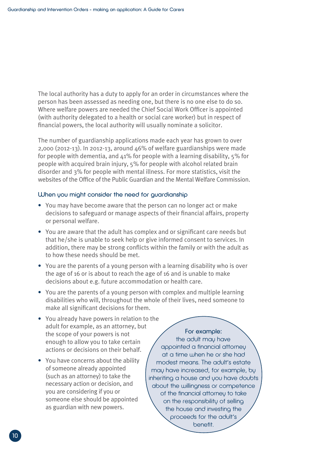The local authority has a duty to apply for an order in circumstances where the person has been assessed as needing one, but there is no one else to do so. Where welfare powers are needed the Chief Social Work Officer is appointed (with authority delegated to a health or social care worker) but in respect of financial powers, the local authority will usually nominate a solicitor.

The number of guardianship applications made each year has grown to over 2,000 (2012-13). In 2012-13, around 46% of welfare guardianships were made for people with dementia, and  $\mu$ 1% for people with a learning disability, 5% for people with acquired brain injury, 5% for people with alcohol related brain disorder and 3% for people with mental illness. For more statistics, visit the websites of the Office of the Public Guardian and the Mental Welfare Commission.

#### When you might consider the need for guardianship

- You may have become aware that the person can no longer act or make decisions to safeguard or manage aspects of their financial affairs, property or personal welfare.
- You are aware that the adult has complex and or significant care needs but that he/she is unable to seek help or give informed consent to services. In addition, there may be strong conflicts within the family or with the adult as to how these needs should be met.
- You are the parents of a young person with a learning disability who is over the age of 16 or is about to reach the age of 16 and is unable to make decisions about e.g. future accommodation or health care.
- You are the parents of a young person with complex and multiple learning disabilities who will, throughout the whole of their lives, need someone to make all significant decisions for them.
- You already have powers in relation to the adult for example, as an attorney, but the scope of your powers is not enough to allow you to take certain actions or decisions on their behalf.
- You have concerns about the ability of someone already appointed (such as an attorney) to take the necessary action or decision, and you are considering if you or someone else should be appointed as guardian with new powers.

#### For example:

the adult may have appointed a financial attorney at a time when he or she had modest means. The adult's estate may have increased, for example, by inheriting a house and you have doubts about the willingness or competence of the financial attorney to take on the responsibility of selling the house and investing the proceeds for the adult's benefit.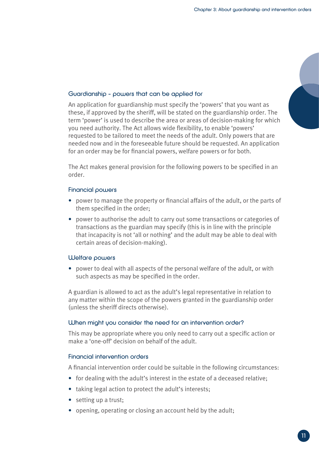#### Guardianship – powers that can be applied for

An application for guardianship must specify the 'powers' that you want as these, if approved by the sheriff, will be stated on the guardianship order. The term 'power' is used to describe the area or areas of decision-making for which you need authority. The Act allows wide flexibility, to enable 'powers' requested to be tailored to meet the needs of the adult. Only powers that are needed now and in the foreseeable future should be requested. An application for an order may be for financial powers, welfare powers or for both.

The Act makes general provision for the following powers to be specified in an order.

#### Financial powers

- power to manage the property or financial affairs of the adult, or the parts of them specified in the order;
- power to authorise the adult to carry out some transactions or categories of transactions as the guardian may specify (this is in line with the principle that incapacity is not 'all or nothing' and the adult may be able to deal with certain areas of decision-making).

#### Welfare powers

• power to deal with all aspects of the personal welfare of the adult, or with such aspects as may be specified in the order.

A guardian is allowed to act as the adult's legal representative in relation to any matter within the scope of the powers granted in the guardianship order (unless the sheriff directs otherwise).

#### When might you consider the need for an intervention order?

This may be appropriate where you only need to carry out a specific action or make a 'one-off' decision on behalf of the adult.

#### Financial intervention orders

A financial intervention order could be suitable in the following circumstances:

- for dealing with the adult's interest in the estate of a deceased relative;
- taking legal action to protect the adult's interests;
- setting up a trust:
- opening, operating or closing an account held by the adult;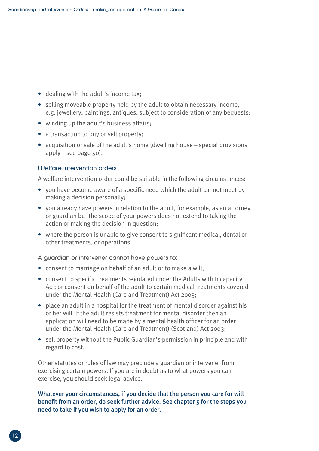- dealing with the adult's income tax;
- selling moveable property held by the adult to obtain necessary income, e.g. jewellery, paintings, antiques, subject to consideration of any bequests;
- winding up the adult's business affairs;
- a transaction to buy or sell property;
- acquisition or sale of the adult's home (dwelling house special provisions apply – see page 50).

#### Welfare intervention orders

A welfare intervention order could be suitable in the following circumstances:

- you have become aware of a specific need which the adult cannot meet by making a decision personally;
- you already have powers in relation to the adult, for example, as an attorney or guardian but the scope of your powers does not extend to taking the action or making the decision in question;
- where the person is unable to give consent to significant medical, dental or other treatments, or operations.

A guardian or intervener cannot have powers to:

- consent to marriage on behalf of an adult or to make a will;
- consent to specific treatments regulated under the Adults with Incapacity Act; or consent on behalf of the adult to certain medical treatments covered under the Mental Health (Care and Treatment) Act 2003;
- place an adult in a hospital for the treatment of mental disorder against his or her will. If the adult resists treatment for mental disorder then an application will need to be made by a mental health officer for an order under the Mental Health (Care and Treatment) (Scotland) Act 2003;
- sell property without the Public Guardian's permission in principle and with regard to cost.

Other statutes or rules of law may preclude a guardian or intervener from exercising certain powers. If you are in doubt as to what powers you can exercise, you should seek legal advice.

#### Whatever your circumstances, if you decide that the person you care for will benefit from an order, do seek further advice. See chapter 5 for the steps you need to take if you wish to apply for an order.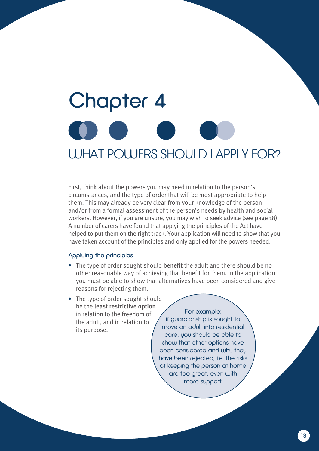# Chapter 4 WHAT POWERS SHOULD I APPLY FOR?

First, think about the powers you may need in relation to the person's circumstances, and the type of order that will be most appropriate to help them. This may already be very clear from your knowledge of the person and/or from a formal assessment of the person's needs by health and social workers. However, if you are unsure, you may wish to seek advice (see page 18). A number of carers have found that applying the principles of the Act have helped to put them on the right track. Your application will need to show that you have taken account of the principles and only applied for the powers needed.

#### Appluing the principles

- The type of order sought should benefit the adult and there should be no other reasonable way of achieving that benefit for them. In the application you must be able to show that alternatives have been considered and give reasons for rejecting them.
- The type of order sought should be the least restrictive option in relation to the freedom of the adult, and in relation to its purpose.

#### For example:

if guardianship is sought to move an adult into residential care, you should be able to show that other options have been considered and why they have been rejected, i.e. the risks of keeping the person at home are too great, even with more support.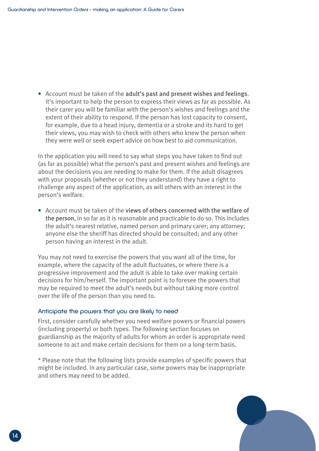• Account must be taken of the adult's past and present wishes and feelings. It's important to help the person to express their views as far as possible. As their carer you will be familiar with the person's wishes and feelings and the extent of their ability to respond. If the person has lost capacity to consent, for example, due to a head injury, dementia or a stroke and its hard to get their views, you may wish to check with others who knew the person when they were well or seek expert advice on how best to aid communication.

In the application you will need to say what steps you have taken to find out (as far as possible) what the person's past and present wishes and feelings are about the decisions you are needing to make for them. If the adult disagrees with your proposals (whether or not they understand) they have a right to challenge any aspect of the application, as will others with an interest in the person's welfare.

• Account must be taken of the views of others concerned with the welfare of the person, in so far as it is reasonable and practicable to do so. This includes the adult's nearest relative, named person and primary carer; any attorney; anyone else the sheriff has directed should be consulted; and any other person having an interest in the adult.

You may not need to exercise the powers that you want all of the time, for example, where the capacity of the adult fluctuates, or where there is a progressive improvement and the adult is able to take over making certain decisions for him/herself. The important point is to foresee the powers that may be required to meet the adult's needs but without taking more control over the life of the person than you need to.

#### Anticipate the powers that you are likely to need

First, consider carefully whether you need welfare powers or financial powers (including property) or both types. The following section focuses on guardianship as the majority of adults for whom an order is appropriate need someone to act and make certain decisions for them on a long-term basis.

\* Please note that the following lists provide examples of specific powers that might be included. In any particular case, some powers may be inappropriate and others may need to be added.

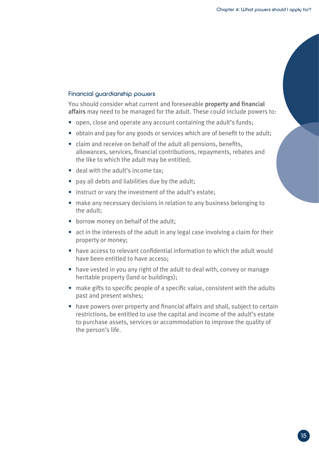#### Financial guardianship powers

You should consider what current and foreseeable property and financial affairs may need to be managed for the adult. These could include powers to:

- open, close and operate any account containing the adult's funds;
- obtain and pay for any goods or services which are of benefit to the adult;
- claim and receive on behalf of the adult all pensions, benefits, allowances, services, financial contributions, repayments, rebates and the like to which the adult may be entitled;
- deal with the adult's income tax:
- pay all debts and liabilities due by the adult;
- instruct or vary the investment of the adult's estate;
- make any necessary decisions in relation to any business belonging to the adult;
- borrow money on behalf of the adult;
- act in the interests of the adult in any legal case involving a claim for their property or money;
- have access to relevant confidential information to which the adult would have been entitled to have access;
- have vested in you any right of the adult to deal with, convey or manage heritable property (land or buildings);
- make gifts to specific people of a specific value, consistent with the adults past and present wishes;
- have powers over property and financial affairs and shall, subject to certain restrictions, be entitled to use the capital and income of the adult's estate to purchase assets, services or accommodation to improve the quality of the person's life.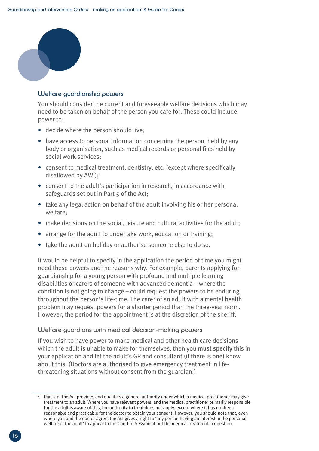

#### Welfare quardianship powers

You should consider the current and foreseeable welfare decisions which may need to be taken on behalf of the person you care for. These could include power to:

- decide where the person should live;
- have access to personal information concerning the person, held by any body or organisation, such as medical records or personal files held by social work services;
- consent to medical treatment, dentistry, etc. (except where specifically disallowed by AWI);<sup>1</sup>
- consent to the adult's participation in research, in accordance with safeguards set out in Part 5 of the Act;
- take any legal action on behalf of the adult involving his or her personal welfare;
- make decisions on the social, leisure and cultural activities for the adult;
- arrange for the adult to undertake work, education or training;
- take the adult on holiday or authorise someone else to do so.

It would be helpful to specify in the application the period of time you might need these powers and the reasons why. For example, parents applying for guardianship for a young person with profound and multiple learning disabilities or carers of someone with advanced dementia – where the condition is not going to change – could request the powers to be enduring throughout the person's life-time. The carer of an adult with a mental health problem may request powers for a shorter period than the three-year norm. However, the period for the appointment is at the discretion of the sheriff.

#### Welfare guardians with medical decision-making powers

If you wish to have power to make medical and other health care decisions which the adult is unable to make for themselves, then you must specify this in your application and let the adult's GP and consultant (if there is one) know about this. (Doctors are authorised to give emergency treatment in lifethreatening situations without consent from the guardian.)

<sup>1</sup> Part 5 of the Act provides and qualifies a general authority under which a medical practitioner may give treatment to an adult. Where you have relevant powers, and the medical practitioner primarily responsible for the adult is aware of this, the authority to treat does not apply, except where it has not been reasonable and practicable for the doctor to obtain your consent. However, you should note that, even where you and the doctor agree, the Act gives a right to 'any person having an interest in the personal welfare of the adult' to appeal to the Court of Session about the medical treatment in question.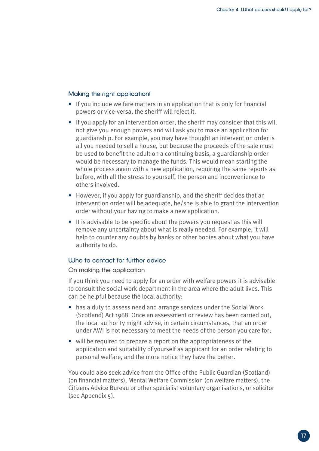#### Making the right application!

- If you include welfare matters in an application that is only for financial powers or vice-versa, the sheriff will reject it.
- If you apply for an intervention order, the sheriff may consider that this will not give you enough powers and will ask you to make an application for guardianship. For example, you may have thought an intervention order is all you needed to sell a house, but because the proceeds of the sale must be used to benefit the adult on a continuing basis, a guardianship order would be necessary to manage the funds. This would mean starting the whole process again with a new application, requiring the same reports as before, with all the stress to yourself, the person and inconvenience to others involved.
- However, if you apply for guardianship, and the sheriff decides that an intervention order will be adequate, he/she is able to grant the intervention order without your having to make a new application.
- It is advisable to be specific about the powers you request as this will remove any uncertainty about what is really needed. For example, it will help to counter any doubts by banks or other bodies about what you have authority to do.

#### Who to contact for further advice

#### On making the application

If you think you need to apply for an order with welfare powers it is advisable to consult the social work department in the area where the adult lives. This can be helpful because the local authority:

- has a duty to assess need and arrange services under the Social Work (Scotland) Act 1968. Once an assessment or review has been carried out, the local authority might advise, in certain circumstances, that an order under AWI is not necessary to meet the needs of the person you care for;
- will be required to prepare a report on the appropriateness of the application and suitability of yourself as applicant for an order relating to personal welfare, and the more notice they have the better.

You could also seek advice from the Office of the Public Guardian (Scotland) (on financial matters), Mental Welfare Commission (on welfare matters), the Citizens Advice Bureau or other specialist voluntary organisations, or solicitor (see Appendix 5).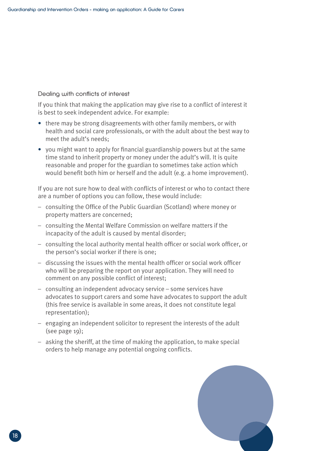#### Dealing with conflicts of interest

If you think that making the application may give rise to a conflict of interest it is best to seek independent advice. For example:

- there may be strong disagreements with other family members, or with health and social care professionals, or with the adult about the best way to meet the adult's needs;
- you might want to apply for financial guardianship powers but at the same time stand to inherit property or money under the adult's will. It is quite reasonable and proper for the guardian to sometimes take action which would benefit both him or herself and the adult (e.g. a home improvement).

If you are not sure how to deal with conflicts of interest or who to contact there are a number of options you can follow, these would include:

- consulting the Office of the Public Guardian (Scotland) where money or property matters are concerned;
- consulting the Mental Welfare Commission on welfare matters if the incapacity of the adult is caused by mental disorder;
- consulting the local authority mental health officer or social work officer, or the person's social worker if there is one;
- discussing the issues with the mental health officer or social work officer who will be preparing the report on your application. They will need to comment on any possible conflict of interest;
- consulting an independent advocacy service some services have advocates to support carers and some have advocates to support the adult (this free service is available in some areas, it does not constitute legal representation);
- engaging an independent solicitor to represent the interests of the adult (see page 19);
- asking the sheriff, at the time of making the application, to make special orders to help manage any potential ongoing conflicts.

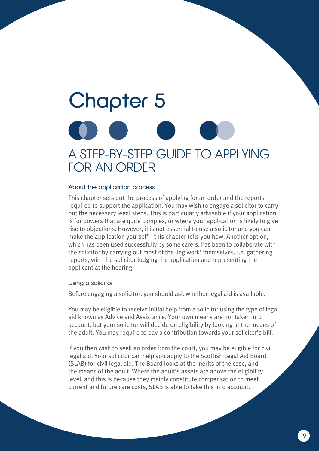### Chapter 5 A STEP-BY-STEP GUIDE TO APPLYING FOR AN ORDER

#### About the application process

This chapter sets out the process of applying for an order and the reports required to support the application. You may wish to engage a solicitor to carry out the necessary legal steps. This is particularly advisable if your application is for powers that are quite complex, or where your application is likely to give rise to objections. However, it is not essential to use a solicitor and you can make the application yourself – this chapter tells you how. Another option, which has been used successfully by some carers, has been to collaborate with the solicitor by carrying out most of the 'leg work' themselves, i.e. gathering reports, with the solicitor lodging the application and representing the applicant at the hearing.

Using a solicitor

Before engaging a solicitor, you should ask whether legal aid is available.

You may be eligible to receive initial help from a solicitor using the type of legal aid known as Advice and Assistance. Your own means are not taken into account, but your solicitor will decide on eligibility by looking at the means of the adult. You may require to pay a contribution towards your solicitor's bill.

If you then wish to seek an order from the court, you may be eligible for civil legal aid. Your solicitor can help you apply to the Scottish Legal Aid Board (SLAB) for civil legal aid. The Board looks at the merits of the case, and the means of the adult. Where the adult's assets are above the eligibility level, and this is because they mainly constitute compensation to meet current and future care costs, SLAB is able to take this into account.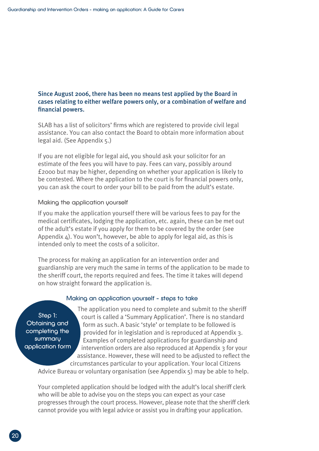#### Since August 2006, there has been no means test applied by the Board in cases relating to either welfare powers only, or a combination of welfare and financial powers.

SLAB has a list of solicitors' firms which are registered to provide civil legal assistance. You can also contact the Board to obtain more information about legal aid. (See Appendix 5.)

If you are not eligible for legal aid, you should ask your solicitor for an estimate of the fees you will have to pay. Fees can vary, possibly around £2000 but may be higher, depending on whether your application is likely to be contested. Where the application to the court is for financial powers only, you can ask the court to order your bill to be paid from the adult's estate.

#### Making the application yourself

If you make the application yourself there will be various fees to pay for the medical certificates, lodging the application, etc. again, these can be met out of the adult's estate if you apply for them to be covered by the order (see Appendix  $\Delta$ ). You won't, however, be able to apply for legal aid, as this is intended only to meet the costs of a solicitor.

The process for making an application for an intervention order and guardianship are very much the same in terms of the application to be made to the sheriff court, the reports required and fees. The time it takes will depend on how straight forward the application is.

#### Making an application yourself – steps to take

Step 1: Obtaining and completing the summary application form

The application you need to complete and submit to the sheriff court is called a 'Summary Application'. There is no standard form as such. A basic 'style' or template to be followed is provided for in legislation and is reproduced at Appendix 3. Examples of completed applications for guardianship and intervention orders are also reproduced at Appendix 3 for your assistance. However, these will need to be adjusted to reflect the circumstances particular to your application. Your local Citizens

Advice Bureau or voluntary organisation (see Appendix 5) may be able to help.

Your completed application should be lodged with the adult's local sheriff clerk who will be able to advise you on the steps you can expect as your case progresses through the court process. However, please note that the sheriff clerk cannot provide you with legal advice or assist you in drafting your application.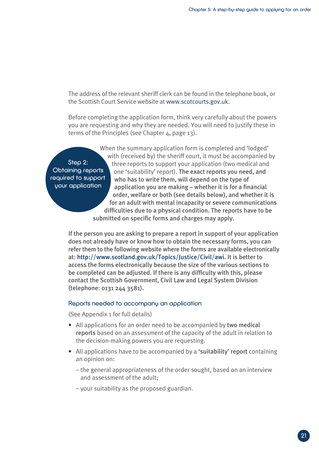The address of the relevant sheriff clerk can be found in the telephone book, or the Scottish Court Service website at www.scotcourts.gov.uk.

Before completing the application form, think very carefully about the powers you are requesting and why they are needed. You will need to justify these in terms of the Principles (see Chapter 4, page 13).

Step 2: Obtaining reports required to support your application

When the summary application form is completed and 'lodged' with (received by) the sheriff court, it must be accompanied by three reports to support your application (two medical and one 'suitability' report). The exact reports you need, and who has to write them, will depend on the type of application you are making – whether it is for a financial order, welfare or both (see details below), and whether it is for an adult with mental incapacity or severe communications difficulties due to a physical condition. The reports have to be submitted on specific forms and charges may apply.

If the person you are asking to prepare a report in support of your application does not already have or know how to obtain the necessary forms, you can refer them to the following website where the forms are available electronically at: http://www.scotland.gov.uk/Topics/Justice/Civil/awi. It is better to access the forms electronically because the size of the various sections to be completed can be adjusted. If there is any difficulty with this, please contact the Scottish Government, Civil Law and Legal System Division (telephone: 0131 244 3581).

#### Reports needed to accompany an application

(See Appendix 1 for full details)

- All applications for an order need to be accompanied by two medical reports based on an assessment of the capacity of the adult in relation to the decision-making powers you are requesting.
- All applications have to be accompanied by a 'suitability' report containing an opinion on:
	- the general appropriateness of the order sought, based on an interview and assessment of the adult;
	- your suitability as the proposed guardian.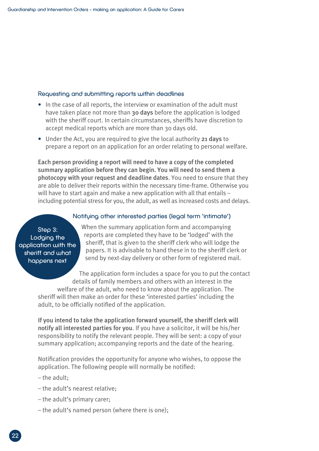#### Requesting and submitting reports within deadlines

- In the case of all reports, the interview or examination of the adult must have taken place not more than 30 days before the application is lodged with the sheriff court. In certain circumstances, sheriffs have discretion to accept medical reports which are more than 30 days old.
- Under the Act, you are required to give the local authority 21 days to prepare a report on an application for an order relating to personal welfare.

Each person providing a report will need to have a copy of the completed summary application before they can begin. You will need to send them a photocopy with your request and deadline dates. You need to ensure that they are able to deliver their reports within the necessary time-frame. Otherwise you will have to start again and make a new application with all that entails including potential stress for you, the adult, as well as increased costs and delays.

### Notifying other interested parties (legal term 'intimate')

Step 3: Lodging the application with the sheriff and what happens next

When the summary application form and accompanying reports are completed they have to be 'lodged' with the sheriff, that is given to the sheriff clerk who will lodge the papers. It is advisable to hand these in to the sheriff clerk or send by next-day delivery or other form of registered mail.

The application form includes a space for you to put the contact details of family members and others with an interest in the welfare of the adult, who need to know about the application. The

sheriff will then make an order for these 'interested parties' including the adult, to be officially notified of the application.

If you intend to take the application forward yourself, the sheriff clerk will notify all interested parties for you. If you have a solicitor, it will be his/her responsibility to notify the relevant people. They will be sent: a copy of your summary application; accompanying reports and the date of the hearing.

Notification provides the opportunity for anyone who wishes, to oppose the application. The following people will normally be notified:

- the adult;
- the adult's nearest relative;
- the adult's primary carer;
- the adult's named person (where there is one);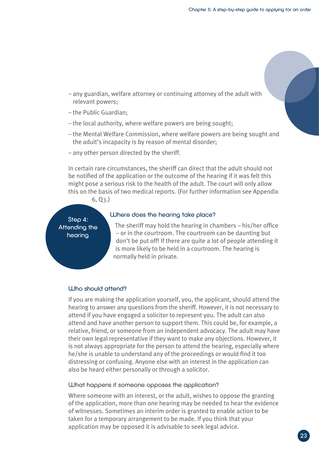- any guardian, welfare attorney or continuing attorney of the adult with relevant powers;
- the Public Guardian;
- the local authority, where welfare powers are being sought;
- the Mental Welfare Commission, where welfare powers are being sought and the adult's incapacity is by reason of mental disorder;
- any other person directed by the sheriff.

In certain rare circumstances, the sheriff can direct that the adult should not be notified of the application or the outcome of the hearing if it was felt this might pose a serious risk to the health of the adult. The court will only allow this on the basis of two medical reports. (For further information see Appendix

6, Q3.)

Step 4: Attending the hearing

#### Where does the hearing take place?

The sheriff may hold the hearing in chambers – his/her office – or in the courtroom. The courtroom can be daunting but don't be put off! If there are quite a lot of people attending it is more likely to be held in a courtroom. The hearing is normally held in private.

#### Who should attend?

If you are making the application yourself, you, the applicant, should attend the hearing to answer any questions from the sheriff. However, it is not necessary to attend if you have engaged a solicitor to represent you. The adult can also attend and have another person to support them. This could be, for example, a relative, friend, or someone from an independent advocacy. The adult may have their own legal representative if they want to make any objections. However, it is not always appropriate for the person to attend the hearing, especially where he/she is unable to understand any of the proceedings or would find it too distressing or confusing. Anyone else with an interest in the application can also be heard either personally or through a solicitor.

What happens if someone opposes the application?

Where someone with an interest, or the adult, wishes to oppose the granting of the application, more than one hearing may be needed to hear the evidence of witnesses. Sometimes an interim order is granted to enable action to be taken for a temporary arrangement to be made. If you think that your application may be opposed it is advisable to seek legal advice.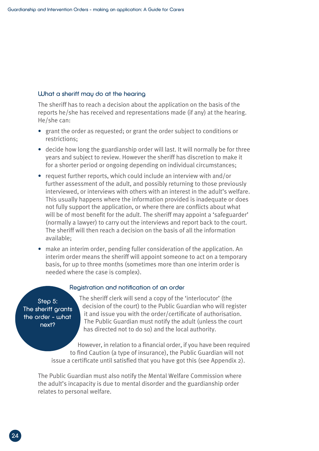#### What a sheriff may do at the hearing

The sheriff has to reach a decision about the application on the basis of the reports he/she has received and representations made (if any) at the hearing. He/she can:

- grant the order as requested; or grant the order subject to conditions or restrictions;
- decide how long the guardianship order will last. It will normally be for three years and subject to review. However the sheriff has discretion to make it for a shorter period or ongoing depending on individual circumstances;
- request further reports, which could include an interview with and/or further assessment of the adult, and possibly returning to those previously interviewed, or interviews with others with an interest in the adult's welfare. This usually happens where the information provided is inadequate or does not fully support the application, or where there are conflicts about what will be of most benefit for the adult. The sheriff may appoint a 'safeguarder' (normally a lawyer) to carry out the interviews and report back to the court. The sheriff will then reach a decision on the basis of all the information available;
- make an interim order, pending fuller consideration of the application. An interim order means the sheriff will appoint someone to act on a temporary basis, for up to three months (sometimes more than one interim order is needed where the case is complex).

#### Registration and notification of an order

Step 5: The sheriff grants the order – what next?

The sheriff clerk will send a copy of the 'interlocutor' (the decision of the court) to the Public Guardian who will register it and issue you with the order/certificate of authorisation. The Public Guardian must notify the adult (unless the court has directed not to do so) and the local authority.

However, in relation to a financial order, if you have been required to find Caution (a type of insurance), the Public Guardian will not issue a certificate until satisfied that you have got this (see Appendix 2).

The Public Guardian must also notify the Mental Welfare Commission where the adult's incapacity is due to mental disorder and the guardianship order relates to personal welfare.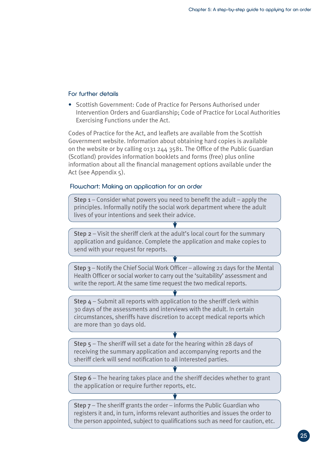#### For further details

• Scottish Government: Code of Practice for Persons Authorised under Intervention Orders and Guardianship; Code of Practice for Local Authorities Exercising Functions under the Act.

Codes of Practice for the Act, and leaflets are available from the Scottish Government website. Information about obtaining hard copies is available on the website or by calling 0131 244 3581. The Office of the Public Guardian (Scotland) provides information booklets and forms (free) plus online information about all the financial management options available under the Act (see Appendix 5).

#### Flowchart: Making an application for an order

Step 1 – Consider what powers you need to benefit the adult – apply the principles. Informally notify the social work department where the adult lives of your intentions and seek their advice.

Step 2 – Visit the sheriff clerk at the adult's local court for the summary application and guidance. Complete the application and make copies to send with your request for reports.

Step 3 – Notify the Chief Social Work Officer – allowing 21 days for the Mental Health Officer or social worker to carry out the 'suitability' assessment and write the report. At the same time request the two medical reports.

Step 4 – Submit all reports with application to the sheriff clerk within 30 days of the assessments and interviews with the adult. In certain circumstances, sheriffs have discretion to accept medical reports which are more than 30 days old.

**Step**  $5$  **– The sheriff will set a date for the hearing within 28 days of** receiving the summary application and accompanying reports and the sheriff clerk will send notification to all interested parties.

Step 6 – The hearing takes place and the sheriff decides whether to grant the application or require further reports, etc.

Step 7 – The sheriff grants the order – informs the Public Guardian who registers it and, in turn, informs relevant authorities and issues the order to the person appointed, subject to qualifications such as need for caution, etc.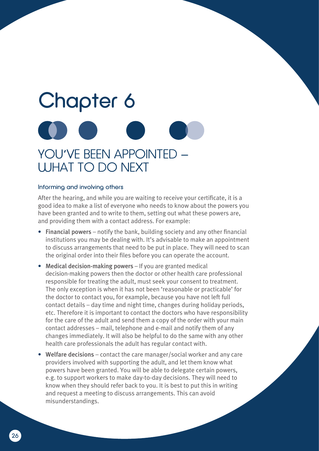## Chapter 6 YOU'VE BEEN APPOINTED – WHAT TO DO NEXT

#### Informing and involving others

After the hearing, and while you are waiting to receive your certificate, it is a good idea to make a list of everyone who needs to know about the powers you have been granted and to write to them, setting out what these powers are, and providing them with a contact address. For example:

- Financial powers notify the bank, building society and any other financial institutions you may be dealing with. It's advisable to make an appointment to discuss arrangements that need to be put in place. They will need to scan the original order into their files before you can operate the account.
- Medical decision-making powers If you are granted medical decision-making powers then the doctor or other health care professional responsible for treating the adult, must seek your consent to treatment. The only exception is when it has not been 'reasonable or practicable' for the doctor to contact you, for example, because you have not left full contact details – day time and night time, changes during holiday periods, etc. Therefore it is important to contact the doctors who have responsibility for the care of the adult and send them a copy of the order with your main contact addresses – mail, telephone and e-mail and notify them of any changes immediately. It will also be helpful to do the same with any other health care professionals the adult has regular contact with.
- Welfare decisions contact the care manager/social worker and any care providers involved with supporting the adult, and let them know what powers have been granted. You will be able to delegate certain powers, e.g. to support workers to make day-to-day decisions. They will need to know when they should refer back to you. It is best to put this in writing and request a meeting to discuss arrangements. This can avoid misunderstandings.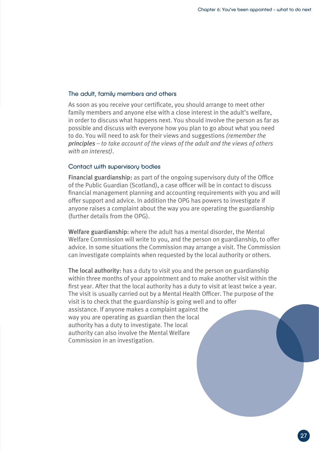#### The adult, family members and others

As soon as you receive your certificate, you should arrange to meet other family members and anyone else with a close interest in the adult's welfare, in order to discuss what happens next. You should involve the person as far as possible and discuss with everyone how you plan to go about what you need to do. You will need to ask for their views and suggestions *(remember the principles – to take account of the views of the adult and the views of others with an interest)*.

#### Contact with supervisory bodies

Financial guardianship: as part of the ongoing supervisory duty of the Office of the Public Guardian (Scotland), a case officer will be in contact to discuss financial management planning and accounting requirements with you and will offer support and advice. In addition the OPG has powers to investigate if anyone raises a complaint about the way you are operating the guardianship (further details from the OPG).

Welfare guardianship: where the adult has a mental disorder, the Mental Welfare Commission will write to you, and the person on guardianship, to offer advice. In some situations the Commission may arrange a visit. The Commission can investigate complaints when requested by the local authority or others.

The local authority: has a duty to visit you and the person on guardianship within three months of your appointment and to make another visit within the first year. After that the local authority has a duty to visit at least twice a year. The visit is usually carried out by a Mental Health Officer. The purpose of the visit is to check that the guardianship is going well and to offer assistance. If anyone makes a complaint against the way you are operating as guardian then the local authority has a duty to investigate. The local authority can also involve the Mental Welfare Commission in an investigation.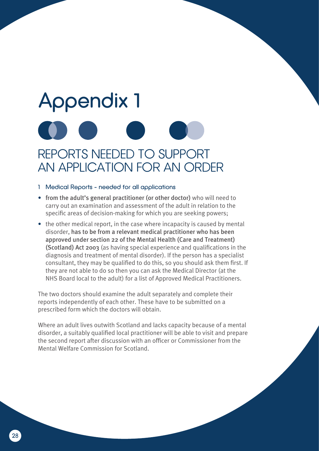## Appendix 1 REPORTS NEEDED TO SUPPORT AN APPLICATION FOR AN ORDER

#### 1 Medical Reports – needed for all applications

- from the adult's general practitioner (or other doctor) who will need to carry out an examination and assessment of the adult in relation to the specific areas of decision-making for which you are seeking powers;
- the other medical report, in the case where incapacity is caused by mental disorder, has to be from a relevant medical practitioner who has been approved under section 22 of the Mental Health (Care and Treatment) (Scotland) Act 2003 (as having special experience and qualifications in the diagnosis and treatment of mental disorder). If the person has a specialist consultant, they may be qualified to do this, so you should ask them first. If they are not able to do so then you can ask the Medical Director (at the NHS Board local to the adult) for a list of Approved Medical Practitioners.

The two doctors should examine the adult separately and complete their reports independently of each other. These have to be submitted on a prescribed form which the doctors will obtain.

Where an adult lives outwith Scotland and lacks capacity because of a mental disorder, a suitably qualified local practitioner will be able to visit and prepare the second report after discussion with an officer or Commissioner from the Mental Welfare Commission for Scotland.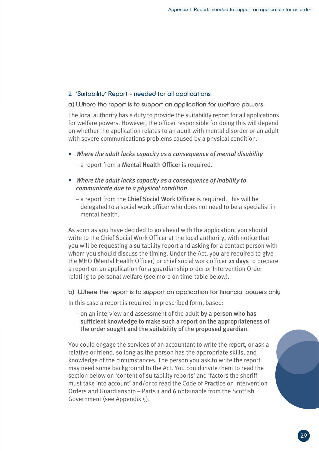#### 2 'Suitability' Report – needed for all applications

a) Where the report is to support an application for welfare powers

The local authority has a duty to provide the suitability report for all applications for welfare powers. However, the officer responsible for doing this will depend on whether the application relates to an adult with mental disorder or an adult with severe communications problems caused by a physical condition.

- *Where the adult lacks capacity as a consequence of mental disability*
	- a report from a Mental Health Officer is required.
- *Where the adult lacks capacity as a consequence of inability to communicate due to a physical condition*
	- a report from the Chief Social Work Officer is required. This will be delegated to a social work officer who does not need to be a specialist in mental health.

As soon as you have decided to go ahead with the application, you should write to the Chief Social Work Officer at the local authority, with notice that you will be requesting a suitability report and asking for a contact person with whom you should discuss the timing. Under the Act, you are required to give the MHO (Mental Health Officer) or chief social work officer 21 days to prepare a report on an application for a guardianship order or Intervention Order relating to personal welfare (see more on time-table below).

b) Where the report is to support an application for financial powers only

In this case a report is required in prescribed form, based:

– on an interview and assessment of the adult by a person who has sufficient knowledge to make such a report on the appropriateness of the order sought and the suitability of the proposed guardian.

You could engage the services of an accountant to write the report, or ask a relative or friend, so long as the person has the appropriate skills, and knowledge of the circumstances. The person you ask to write the report may need some background to the Act. You could invite them to read the section below on 'content of suitability reports' and 'factors the sheriff must take into account' and/or to read the Code of Practice on Intervention Orders and Guardianship – Parts 1 and 6 obtainable from the Scottish Government (see Appendix 5).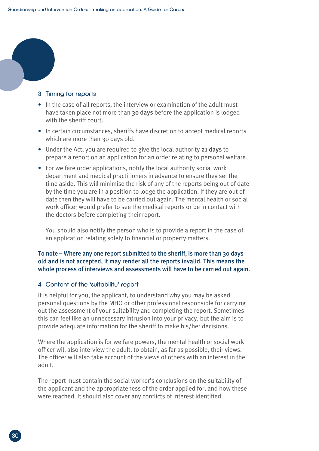#### 3 Timing for reports

- In the case of all reports, the interview or examination of the adult must have taken place not more than 30 days before the application is lodged with the sheriff court.
- In certain circumstances, sheriffs have discretion to accept medical reports which are more than 30 days old.
- Under the Act, you are required to give the local authority 21 days to prepare a report on an application for an order relating to personal welfare.
- For welfare order applications, notify the local authority social work department and medical practitioners in advance to ensure they set the time aside. This will minimise the risk of any of the reports being out of date by the time you are in a position to lodge the application. If they are out of date then they will have to be carried out again. The mental health or social work officer would prefer to see the medical reports or be in contact with the doctors before completing their report.

 You should also notify the person who is to provide a report in the case of an application relating solely to financial or property matters.

#### To note – Where any one report submitted to the sheriff, is more than 30 days old and is not accepted, it may render all the reports invalid. This means the whole process of interviews and assessments will have to be carried out again.

#### 4 Content of the 'suitability' report

It is helpful for you, the applicant, to understand why you may be asked personal questions by the MHO or other professional responsible for carrying out the assessment of your suitability and completing the report. Sometimes this can feel like an unnecessary intrusion into your privacy, but the aim is to provide adequate information for the sheriff to make his/her decisions.

Where the application is for welfare powers, the mental health or social work officer will also interview the adult, to obtain, as far as possible, their views. The officer will also take account of the views of others with an interest in the adult.

The report must contain the social worker's conclusions on the suitability of the applicant and the appropriateness of the order applied for, and how these were reached. It should also cover any conflicts of interest identified.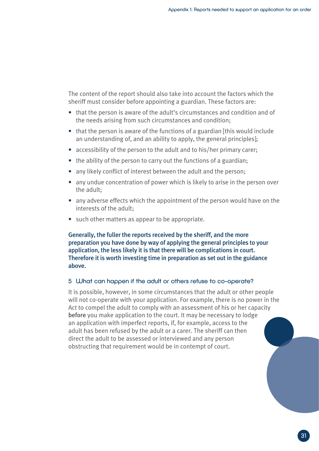The content of the report should also take into account the factors which the sheriff must consider before appointing a guardian. These factors are:

- that the person is aware of the adult's circumstances and condition and of the needs arising from such circumstances and condition;
- that the person is aware of the functions of a guardian [this would include an understanding of, and an ability to apply, the general principles];
- accessibility of the person to the adult and to his/her primary carer;
- the ability of the person to carry out the functions of a guardian;
- any likely conflict of interest between the adult and the person;
- any undue concentration of power which is likely to arise in the person over the adult;
- any adverse effects which the appointment of the person would have on the interests of the adult;
- such other matters as appear to be appropriate.

Generally, the fuller the reports received by the sheriff, and the more preparation you have done by way of applying the general principles to your application, the less likely it is that there will be complications in court. Therefore it is worth investing time in preparation as set out in the guidance above.

#### 5 What can happen if the adult or others refuse to co-operate?

It is possible, however, in some circumstances that the adult or other people will not co-operate with your application. For example, there is no power in the Act to compel the adult to comply with an assessment of his or her capacity before you make application to the court. It may be necessary to lodge an application with imperfect reports, if, for example, access to the adult has been refused by the adult or a carer. The sheriff can then direct the adult to be assessed or interviewed and any person obstructing that requirement would be in contempt of court.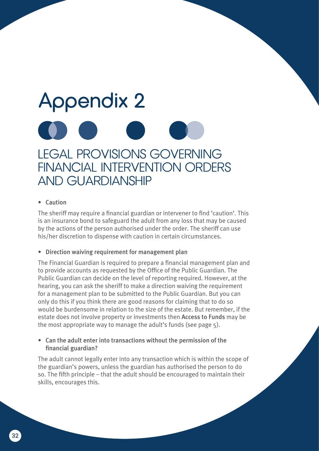### Appendix 2 LEGAL PROVISIONS GOVERNING FINANCIAL INTERVENTION ORDERS AND GUARDIANSHIP

#### • Caution

The sheriff may require a financial guardian or intervener to find 'caution'. This is an insurance bond to safeguard the adult from any loss that may be caused by the actions of the person authorised under the order. The sheriff can use his/her discretion to dispense with caution in certain circumstances.

#### • Direction waiving requirement for management plan

The Financial Guardian is required to prepare a financial management plan and to provide accounts as requested by the Office of the Public Guardian. The Public Guardian can decide on the level of reporting required. However, at the hearing, you can ask the sheriff to make a direction waiving the requirement for a management plan to be submitted to the Public Guardian. But you can only do this if you think there are good reasons for claiming that to do so would be burdensome in relation to the size of the estate. But remember, if the estate does not involve property or investments then Access to Funds may be the most appropriate way to manage the adult's funds (see page 5).

#### • Can the adult enter into transactions without the permission of the financial guardian?

The adult cannot legally enter into any transaction which is within the scope of the guardian's powers, unless the guardian has authorised the person to do so. The fifth principle – that the adult should be encouraged to maintain their skills, encourages this.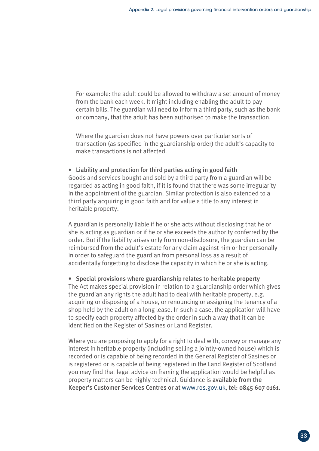For example: the adult could be allowed to withdraw a set amount of money from the bank each week. It might including enabling the adult to pay certain bills. The guardian will need to inform a third party, such as the bank or company, that the adult has been authorised to make the transaction.

Where the guardian does not have powers over particular sorts of transaction (as specified in the guardianship order) the adult's capacity to make transactions is not affected.

• Liability and protection for third parties acting in good faith Goods and services bought and sold by a third party from a guardian will be regarded as acting in good faith, if it is found that there was some irregularity in the appointment of the guardian. Similar protection is also extended to a third party acquiring in good faith and for value a title to any interest in heritable property.

A guardian is personally liable if he or she acts without disclosing that he or she is acting as guardian or if he or she exceeds the authority conferred by the order. But if the liability arises only from non-disclosure, the guardian can be reimbursed from the adult's estate for any claim against him or her personally in order to safeguard the guardian from personal loss as a result of accidentally forgetting to disclose the capacity in which he or she is acting.

• Special provisions where guardianship relates to heritable property The Act makes special provision in relation to a guardianship order which gives the guardian any rights the adult had to deal with heritable property, e.g. acquiring or disposing of a house, or renouncing or assigning the tenancy of a shop held by the adult on a long lease. In such a case, the application will have to specify each property affected by the order in such a way that it can be identified on the Register of Sasines or Land Register.

Where you are proposing to apply for a right to deal with, convey or manage any interest in heritable property (including selling a jointly-owned house) which is recorded or is capable of being recorded in the General Register of Sasines or is registered or is capable of being registered in the Land Register of Scotland you may find that legal advice on framing the application would be helpful as property matters can be highly technical. Guidance is available from the Keeper's Customer Services Centres or at www.ros.gov.uk, tel: 0845 607 0161.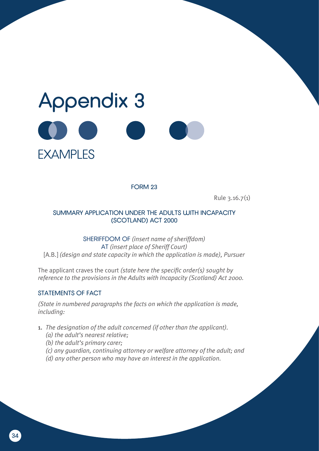

FORM 23

Rule 3.16.7(1)

#### SUMMARY APPLICATION UNDER THE ADULTS WITH INCAPACITY (SCOTLAND) ACT 2000

SHERIFFDOM OF *(insert name of sheriffdom)* AT *(insert place of Sheriff Court)* [A.B.] *(design and state capacity in which the application is made), Pursuer*

The applicant craves the court *(state here the specific order(s) sought by reference to the provisions in the Adults with Incapacity (Scotland) Act 2000.*

#### STATEMENTS OF FACT

*(State in numbered paragraphs the facts on which the application is made, including:*

- 1. *The designation of the adult concerned (if other than the applicant).*
	- *(a) the adult's nearest relative;*
	- *(b) the adult's primary carer;*
	- *(c) any guardian, continuing attorney or welfare attorney of the adult; and*
	- *(d) any other person who may have an interest in the application.*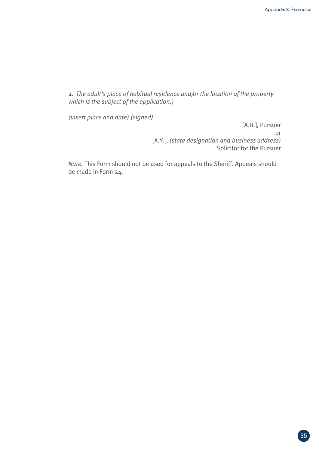2. *The adult's place of habitual residence and/or the location of the property which is the subject of the application.)*

*(insert place and date) (signed)*

[A.B.], Pursuer or [X.Y.], *(state designation and business address)* Solicitor for the Pursuer

*Note.* This Form should not be used for appeals to the Sheriff. Appeals should be made in Form 24.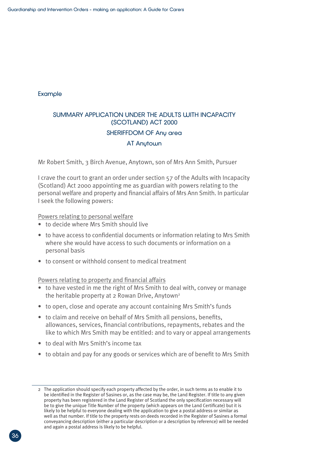#### Example

#### SUMMARY APPLICATION UNDER THE ADULTS WITH INCAPACITY (SCOTLAND) ACT 2000

#### SHERIFFDOM OF Any area

#### AT Anytown

Mr Robert Smith, 3 Birch Avenue, Anytown, son of Mrs Ann Smith, Pursuer

I crave the court to grant an order under section 57 of the Adults with Incapacity (Scotland) Act 2000 appointing me as guardian with powers relating to the personal welfare and property and financial affairs of Mrs Ann Smith. In particular I seek the following powers:

Powers relating to personal welfare

- to decide where Mrs Smith should live
- to have access to confidential documents or information relating to Mrs Smith where she would have access to such documents or information on a personal basis
- to consent or withhold consent to medical treatment

Powers relating to property and financial affairs

- to have vested in me the right of Mrs Smith to deal with, convey or manage the heritable property at 2 Rowan Drive, Anytown<sup>2</sup>
- to open, close and operate any account containing Mrs Smith's funds
- to claim and receive on behalf of Mrs Smith all pensions, benefits, allowances, services, financial contributions, repayments, rebates and the like to which Mrs Smith may be entitled: and to vary or appeal arrangements
- to deal with Mrs Smith's income tax
- to obtain and pay for any goods or services which are of benefit to Mrs Smith

<sup>2</sup> The application should specify each property affected by the order, in such terms as to enable it to be identified in the Register of Sasines or, as the case may be, the Land Register. If title to any given property has been registered in the Land Register of Scotland the only specification necessary will be to give the unique Title Number of the property (which appears on the Land Certificate) but it is likely to be helpful to everyone dealing with the application to give a postal address or similar as well as that number. If title to the property rests on deeds recorded in the Register of Sasines a formal conveyancing description (either a particular description or a description by reference) will be needed and again a postal address is likely to be helpful.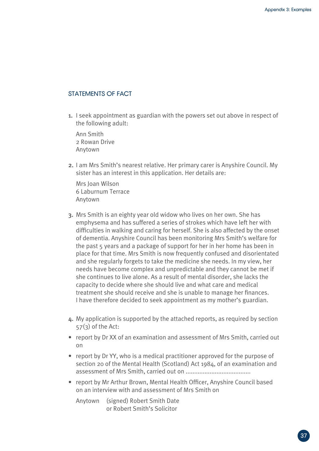#### STATEMENTS OF FACT

1. I seek appointment as guardian with the powers set out above in respect of the following adult:

Ann Smith 2 Rowan Drive Anytown

2. I am Mrs Smith's nearest relative. Her primary carer is Anyshire Council. My sister has an interest in this application. Her details are:

Mrs Joan Wilson 6 Laburnum Terrace Anytown

- 3. Mrs Smith is an eighty year old widow who lives on her own. She has emphysema and has suffered a series of strokes which have left her with difficulties in walking and caring for herself. She is also affected by the onset of dementia. Anyshire Council has been monitoring Mrs Smith's welfare for the past 5 years and a package of support for her in her home has been in place for that time. Mrs Smith is now frequently confused and disorientated and she regularly forgets to take the medicine she needs. In my view, her needs have become complex and unpredictable and they cannot be met if she continues to live alone. As a result of mental disorder, she lacks the capacity to decide where she should live and what care and medical treatment she should receive and she is unable to manage her finances. I have therefore decided to seek appointment as my mother's guardian.
- 4. My application is supported by the attached reports, as required by section  $57(3)$  of the Act:
- report by Dr XX of an examination and assessment of Mrs Smith, carried out on
- report by Dr YY, who is a medical practitioner approved for the purpose of section 20 of the Mental Health (Scotland) Act 1984, of an examination and assessment of Mrs Smith, carried out on ......................................
- report by Mr Arthur Brown, Mental Health Officer, Anyshire Council based on an interview with and assessment of Mrs Smith on

Anytown (signed) Robert Smith Date or Robert Smith's Solicitor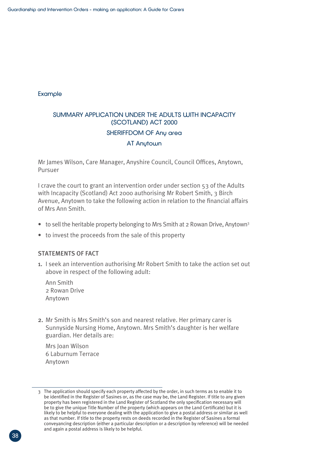#### Example

#### SUMMARY APPLICATION UNDER THE ADULTS WITH INCAPACITY (SCOTLAND) ACT 2000

#### SHERIFFDOM OF Any area

#### AT Anytown

Mr James Wilson, Care Manager, Anyshire Council, Council Offices, Anytown, Pursuer

I crave the court to grant an intervention order under section 53 of the Adults with Incapacity (Scotland) Act 2000 authorising Mr Robert Smith, 3 Birch Avenue, Anytown to take the following action in relation to the financial affairs of Mrs Ann Smith.

- to sell the heritable property belonging to Mrs Smith at 2 Rowan Drive, Anytown<sup>3</sup>
- to invest the proceeds from the sale of this property

#### STATEMENTS OF FACT

1. I seek an intervention authorising Mr Robert Smith to take the action set out above in respect of the following adult:

Ann Smith 2 Rowan Drive Anytown

2. Mr Smith is Mrs Smith's son and nearest relative. Her primary carer is Sunnyside Nursing Home, Anytown. Mrs Smith's daughter is her welfare guardian. Her details are:

Mrs Joan Wilson 6 Laburnum Terrace Anytown

<sup>3</sup> The application should specify each property affected by the order, in such terms as to enable it to be identified in the Register of Sasines or, as the case may be, the Land Register. If title to any given property has been registered in the Land Register of Scotland the only specification necessary will be to give the unique Title Number of the property (which appears on the Land Certificate) but it is likely to be helpful to everyone dealing with the application to give a postal address or similar as well as that number. If title to the property rests on deeds recorded in the Register of Sasines a formal conveyancing description (either a particular description or a description by reference) will be needed and again a postal address is likely to be helpful.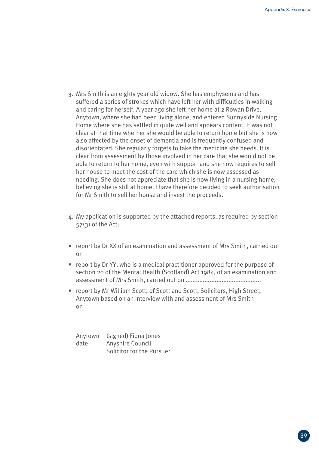- 3. Mrs Smith is an eighty year old widow. She has emphysema and has suffered a series of strokes which have left her with difficulties in walking and caring for herself. A year ago she left her home at 2 Rowan Drive, Anytown, where she had been living alone, and entered Sunnyside Nursing Home where she has settled in quite well and appears content. It was not clear at that time whether she would be able to return home but she is now also affected by the onset of dementia and is frequently confused and disorientated. She regularly forgets to take the medicine she needs. It is clear from assessment by those involved in her care that she would not be able to return to her home, even with support and she now requires to sell her house to meet the cost of the care which she is now assessed as needing. She does not appreciate that she is now living in a nursing home, believing she is still at home. I have therefore decided to seek authorisation for Mr Smith to sell her house and invest the proceeds.
- 4. My application is supported by the attached reports, as required by section  $57(3)$  of the Act:
- report by Dr XX of an examination and assessment of Mrs Smith, carried out on
- report by Dr YY, who is a medical practitioner approved for the purpose of section 20 of the Mental Health (Scotland) Act 1984, of an examination and assessment of Mrs Smith, carried out on ............................................
- report by Mr William Scott, of Scott and Scott, Solicitors, High Street, Anytown based on an interview with and assessment of Mrs Smith on

Anytown (signed) Fiona Jones date Anyshire Council Solicitor for the Pursuer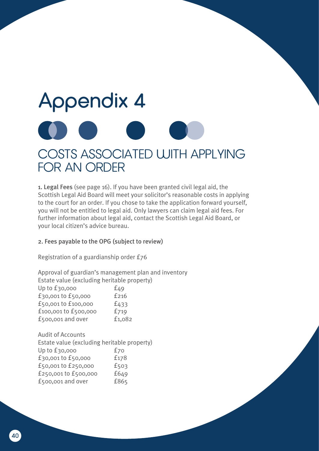### Appendix 4 COSTS ASSOCIATED WITH APPLYING FOR AN ORDER

1. Legal Fees (see page 16). If you have been granted civil legal aid, the Scottish Legal Aid Board will meet your solicitor's reasonable costs in applying to the court for an order. If you chose to take the application forward yourself, you will not be entitled to legal aid. Only lawyers can claim legal aid fees. For further information about legal aid, contact the Scottish Legal Aid Board, or your local citizen's advice bureau.

#### 2. Fees payable to the OPG (subject to review)

Registration of a guardianship order £76

Approval of guardian's management plan and inventory Estate value (excluding heritable property)  $\ln \ln \frac{20000}{2000}$  f/0

| $  \rightarrow$ |
|-----------------|
| £216            |
| £433            |
| £719            |
| £1,082          |
|                 |

Audit of Accounts Estate value (excluding heritable property) Up to £30,000 f70 £30,001 to £50,000 £178 £50,001 to £250,000 £503 £250,001 to £500,000 £649 £500,001 and over £865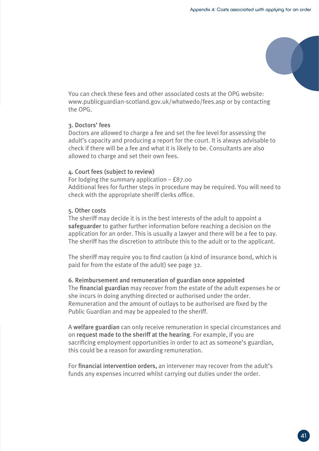You can check these fees and other associated costs at the OPG website: www.publicguardian-scotland.gov.uk/whatwedo/fees.asp or by contacting the OPG.

#### 3. Doctors' fees

Doctors are allowed to charge a fee and set the fee level for assessing the adult's capacity and producing a report for the court. It is always advisable to check if there will be a fee and what it is likely to be. Consultants are also allowed to charge and set their own fees.

#### 4. Court fees (subject to review)

For lodging the summary application – £87.00 Additional fees for further steps in procedure may be required. You will need to check with the appropriate sheriff clerks office.

#### 5. Other costs

The sheriff may decide it is in the best interests of the adult to appoint a safeguarder to gather further information before reaching a decision on the application for an order. This is usually a lawyer and there will be a fee to pay. The sheriff has the discretion to attribute this to the adult or to the applicant.

The sheriff may require you to find caution (a kind of insurance bond, which is paid for from the estate of the adult) see page 32.

#### 6. Reimbursement and remuneration of guardian once appointed

The financial guardian may recover from the estate of the adult expenses he or she incurs in doing anything directed or authorised under the order. Remuneration and the amount of outlays to be authorised are fixed by the Public Guardian and may be appealed to the sheriff.

A welfare guardian can only receive remuneration in special circumstances and on request made to the sheriff at the hearing. For example, if you are sacrificing employment opportunities in order to act as someone's guardian, this could be a reason for awarding remuneration.

For financial intervention orders, an intervener may recover from the adult's funds any expenses incurred whilst carrying out duties under the order.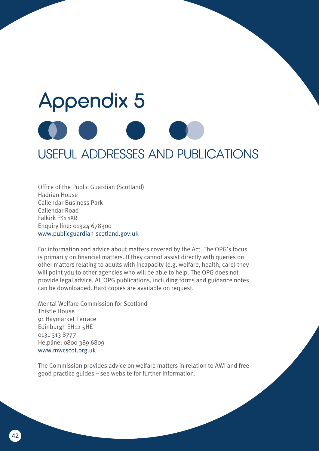# Appendix 5 USEFUL ADDRESSES AND PUBLICATIONS

Office of the Public Guardian (Scotland) Hadrian House Callendar Business Park Callendar Road Falkirk FK1 1XR Enquiry line: 01324 678300 www.publicguardian-scotland.gov.uk

For information and advice about matters covered by the Act. The OPG's focus is primarily on financial matters. If they cannot assist directly with queries on other matters relating to adults with incapacity (e.g. welfare, health, care) they will point you to other agencies who will be able to help. The OPG does not provide legal advice. All OPG publications, including forms and guidance notes can be downloaded. Hard copies are available on request.

Mental Welfare Commission for Scotland Thistle House 91 Haymarket Terrace Edinburgh EH12 5HE 0131 313 8777 Helpline: 0800 389 6809 www.mwcscot.org.uk

The Commission provides advice on welfare matters in relation to AWI and free good practice guides – see website for further information.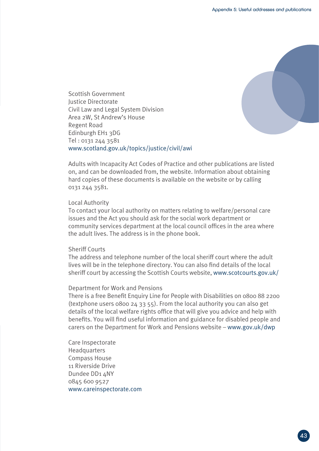

Scottish Government Justice Directorate Civil Law and Legal System Division Area 2W, St Andrew's House Regent Road Edinburgh EH1 3DG Tel : 0131 244 3581 www.scotland.gov.uk/topics/justice/civil/awi

Adults with Incapacity Act Codes of Practice and other publications are listed on, and can be downloaded from, the website. Information about obtaining hard copies of these documents is available on the website or by calling 0131 244 3581.

#### Local Authority

To contact your local authority on matters relating to welfare/personal care issues and the Act you should ask for the social work department or community services department at the local council offices in the area where the adult lives. The address is in the phone book.

#### Sheriff Courts

The address and telephone number of the local sheriff court where the adult lives will be in the telephone directory. You can also find details of the local sheriff court by accessing the Scottish Courts website, www.scotcourts.gov.uk/

#### Department for Work and Pensions

There is a free Benefit Enquiry Line for People with Disabilities on 0800 88 2200 (textphone users 0800 24 33 55). From the local authority you can also get details of the local welfare rights office that will give you advice and help with benefits. You will find useful information and guidance for disabled people and carers on the Department for Work and Pensions website – www.gov.uk/dwp

Care Inspectorate **Headquarters** Compass House 11 Riverside Drive Dundee DD1 4NY 0845 600 9527 www.careinspectorate.com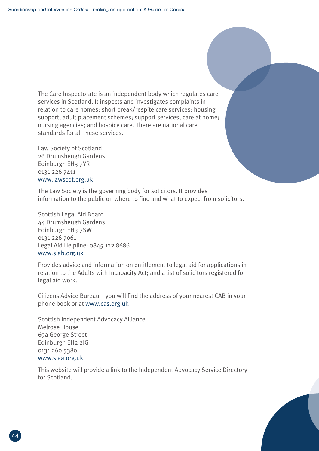The Care Inspectorate is an independent body which regulates care services in Scotland. It inspects and investigates complaints in relation to care homes; short break/respite care services; housing support; adult placement schemes; support services; care at home; nursing agencies; and hospice care. There are national care standards for all these services.

Law Society of Scotland 26 Drumsheugh Gardens Edinburgh EH3 7YR 0131 226 7411 www.lawscot.org.uk

The Law Society is the governing body for solicitors. It provides information to the public on where to find and what to expect from solicitors.

Scottish Legal Aid Board 44 Drumsheugh Gardens Edinburgh EH3 7SW 0131 226 7061 Legal Aid Helpline: 0845 122 8686 www.slab.org.uk

Provides advice and information on entitlement to legal aid for applications in relation to the Adults with Incapacity Act; and a list of solicitors registered for legal aid work.

Citizens Advice Bureau – you will find the address of your nearest CAB in your phone book or at www.cas.org.uk

Scottish Independent Advocacy Alliance Melrose House 69a George Street Edinburgh EH2 2JG 0131 260 5380 www.siaa.org.uk

This website will provide a link to the Independent Advocacy Service Directory for Scotland.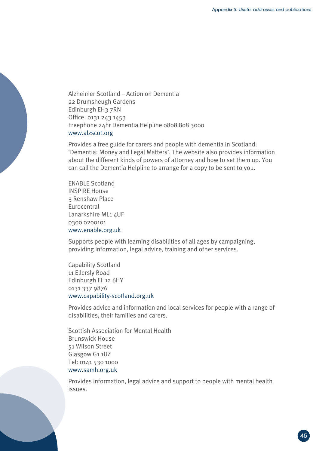Alzheimer Scotland – Action on Dementia 22 Drumsheugh Gardens Edinburgh EH3 7RN Office: 0131 243 1453 Freephone 24hr Dementia Helpline 0808 808 3000 www.alzscot.org

Provides a free guide for carers and people with dementia in Scotland: 'Dementia: Money and Legal Matters'. The website also provides information about the different kinds of powers of attorney and how to set them up. You can call the Dementia Helpline to arrange for a copy to be sent to you.

ENABLE Scotland INSPIRE House 3 Renshaw Place **Eurocentral** Lanarkshire ML1 4UF 0300 0200101 www.enable.org.uk

Supports people with learning disabilities of all ages by campaigning, providing information, legal advice, training and other services.

Capability Scotland 11 Ellersly Road Edinburgh EH12 6HY 0131 337 9876 www.capability-scotland.org.uk

Provides advice and information and local services for people with a range of disabilities, their families and carers.

Scottish Association for Mental Health Brunswick House 51 Wilson Street Glasgow G1 1UZ Tel: 0141 530 1000 www.samh.org.uk

Provides information, legal advice and support to people with mental health issues.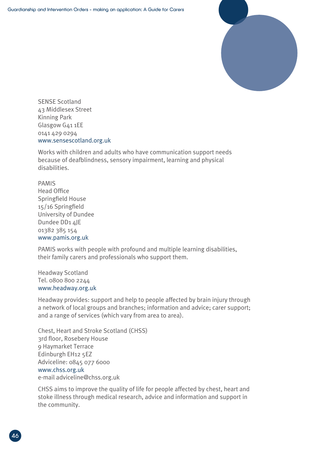

SENSE Scotland 43 Middlesex Street Kinning Park Glasgow G41 1EE 0141 429 0294 www.sensescotland.org.uk

Works with children and adults who have communication support needs because of deafblindness, sensory impairment, learning and physical disabilities.

PAMIS Head Office Springfield House 15/16 Springfield University of Dundee Dundee DD1 4JE 01382 385 154 www.pamis.org.uk

PAMIS works with people with profound and multiple learning disabilities, their family carers and professionals who support them.

Headway Scotland Tel. 0800 800 2244 www.headway.org.uk

Headway provides: support and help to people affected by brain injury through a network of local groups and branches; information and advice; carer support; and a range of services (which vary from area to area).

Chest, Heart and Stroke Scotland (CHSS) 3rd floor, Rosebery House 9 Haymarket Terrace Edinburgh EH12 5EZ Adviceline: 0845 077 6000 www.chss.org.uk e-mail adviceline@chss.org.uk

CHSS aims to improve the quality of life for people affected by chest, heart and stoke illness through medical research, advice and information and support in the community.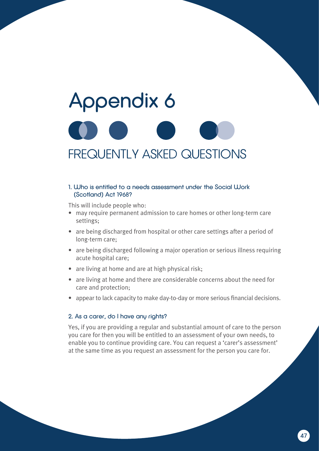# Appendix 6 FREQUENTLY ASKED QUESTIONS

#### 1. Who is entitled to a needs assessment under the Social Work (Scotland) Act 1968?

This will include people who:

- may require permanent admission to care homes or other long-term care settings;
- are being discharged from hospital or other care settings after a period of long-term care;
- are being discharged following a major operation or serious illness requiring acute hospital care;
- are living at home and are at high physical risk;
- are living at home and there are considerable concerns about the need for care and protection;
- appear to lack capacity to make day-to-day or more serious financial decisions.

#### 2. As a carer, do I have any rights?

Yes, if you are providing a regular and substantial amount of care to the person you care for then you will be entitled to an assessment of your own needs, to enable you to continue providing care. You can request a 'carer's assessment' at the same time as you request an assessment for the person you care for.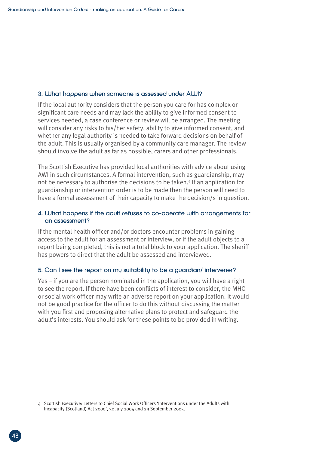#### 3. What happens when someone is assessed under AWI?

If the local authority considers that the person you care for has complex or significant care needs and may lack the ability to give informed consent to services needed, a case conference or review will be arranged. The meeting will consider any risks to his/her safety, ability to give informed consent, and whether any legal authority is needed to take forward decisions on behalf of the adult. This is usually organised by a community care manager. The review should involve the adult as far as possible, carers and other professionals.

The Scottish Executive has provided local authorities with advice about using AWI in such circumstances. A formal intervention, such as guardianship, may not be necessary to authorise the decisions to be taken.<sup>4</sup> If an application for guardianship or intervention order is to be made then the person will need to have a formal assessment of their capacity to make the decision/s in question.

#### 4. What happens if the adult refuses to co-operate with arrangements for an assessment?

If the mental health officer and/or doctors encounter problems in gaining access to the adult for an assessment or interview, or if the adult objects to a report being completed, this is not a total block to your application. The sheriff has powers to direct that the adult be assessed and interviewed.

#### 5. Can I see the report on my suitability to be a guardian/ intervener?

Yes – if you are the person nominated in the application, you will have a right to see the report. If there have been conflicts of interest to consider, the MHO or social work officer may write an adverse report on your application. It would not be good practice for the officer to do this without discussing the matter with you first and proposing alternative plans to protect and safeguard the adult's interests. You should ask for these points to be provided in writing.

<sup>4</sup> Scottish Executive: Letters to Chief Social Work Officers 'Interventions under the Adults with Incapacity (Scotland) Act 2000', 30 July 2004 and 29 September 2005.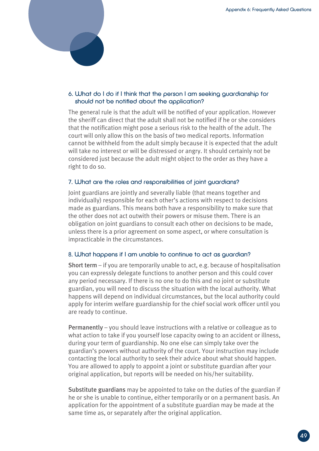

#### 6. What do I do if I think that the person I am seeking guardianship for should not be notified about the application?

The general rule is that the adult will be notified of your application. However the sheriff can direct that the adult shall not be notified if he or she considers that the notification might pose a serious risk to the health of the adult. The court will only allow this on the basis of two medical reports. Information cannot be withheld from the adult simply because it is expected that the adult will take no interest or will be distressed or angry. It should certainly not be considered just because the adult might object to the order as they have a right to do so.

#### 7. What are the roles and responsibilities of joint guardians?

Joint guardians are jointly and severally liable (that means together and individually) responsible for each other's actions with respect to decisions made as guardians. This means both have a responsibility to make sure that the other does not act outwith their powers or misuse them. There is an obligation on joint guardians to consult each other on decisions to be made, unless there is a prior agreement on some aspect, or where consultation is impracticable in the circumstances.

#### 8. What happens if I am unable to continue to act as guardian?

Short term – if you are temporarily unable to act, e.g. because of hospitalisation you can expressly delegate functions to another person and this could cover any period necessary. If there is no one to do this and no joint or substitute guardian, you will need to discuss the situation with the local authority. What happens will depend on individual circumstances, but the local authority could apply for interim welfare guardianship for the chief social work officer until you are ready to continue.

Permanently – you should leave instructions with a relative or colleague as to what action to take if you yourself lose capacity owing to an accident or illness, during your term of guardianship. No one else can simply take over the guardian's powers without authority of the court. Your instruction may include contacting the local authority to seek their advice about what should happen. You are allowed to apply to appoint a joint or substitute guardian after your original application, but reports will be needed on his/her suitability.

Substitute guardians may be appointed to take on the duties of the guardian if he or she is unable to continue, either temporarily or on a permanent basis. An application for the appointment of a substitute guardian may be made at the same time as, or separately after the original application.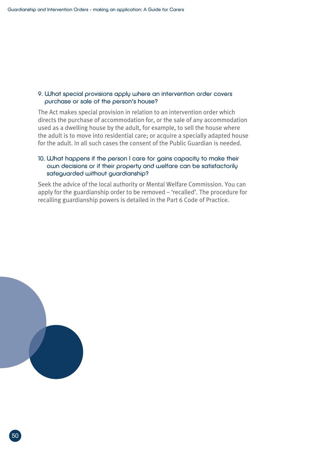#### 9. What special provisions apply where an intervention order covers purchase or sale of the person's house?

The Act makes special provision in relation to an intervention order which directs the purchase of accommodation for, or the sale of any accommodation used as a dwelling house by the adult, for example, to sell the house where the adult is to move into residential care; or acquire a specially adapted house for the adult. In all such cases the consent of the Public Guardian is needed.

#### 10. What happens if the person I care for gains capacity to make their own decisions or if their property and welfare can be satisfactorily safeguarded without guardianship?

Seek the advice of the local authority or Mental Welfare Commission. You can apply for the guardianship order to be removed – 'recalled'. The procedure for recalling guardianship powers is detailed in the Part 6 Code of Practice.

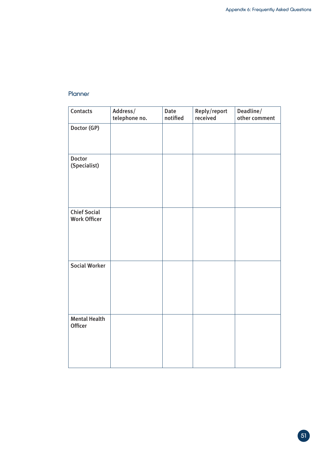#### **Planner**

| Contacts                                   | Address/<br>telephone no. | Date<br>notified | Reply/report<br>received | Deadline/<br>other comment |
|--------------------------------------------|---------------------------|------------------|--------------------------|----------------------------|
| Doctor (GP)                                |                           |                  |                          |                            |
| <b>Doctor</b><br>(Specialist)              |                           |                  |                          |                            |
| <b>Chief Social</b><br><b>Work Officer</b> |                           |                  |                          |                            |
| <b>Social Worker</b>                       |                           |                  |                          |                            |
| <b>Mental Health</b><br><b>Officer</b>     |                           |                  |                          |                            |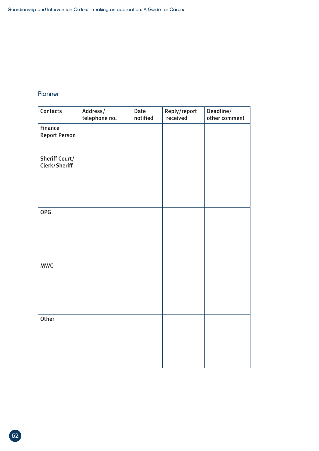#### Planner

| Contacts                               | Address/<br>telephone no. | Date<br>notified | Reply/report<br>received | Deadline/<br>other comment |
|----------------------------------------|---------------------------|------------------|--------------------------|----------------------------|
| <b>Finance</b><br><b>Report Person</b> |                           |                  |                          |                            |
| <b>Sheriff Court/</b><br>Clerk/Sheriff |                           |                  |                          |                            |
| <b>OPG</b>                             |                           |                  |                          |                            |
| <b>MWC</b>                             |                           |                  |                          |                            |
| Other                                  |                           |                  |                          |                            |